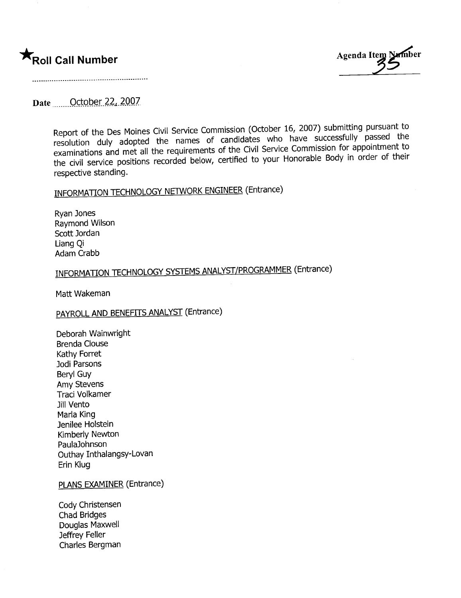

.............................................-......................................

### Date ........ October 22, 2007

Report of the Des Moines Civil Service Commission (October 16, 2007) submitting pursuant the resolution duly adopted the names of candidates who have successfully passed the<br>Letter for annointment to examinations and met all the requirements of the Civil Service Commission for appointment to the civil service positions recorded below, certified to your Honorable Body in order of their respective standing.

## INFORMATION TECHNOLOGY NETWORK ENGINEER (Entrance)

Ryan Jones Raymond Wilson Scott Jordan Liang Qi Adam Crabb

## INFORMATION TECHNOLOGY SYSTEMS ANALYST/PROGRAMMER (Entrance)

Matt Wakeman

## PAYROLL AND BENEFITS ANALYST (Entrance)

Deborah Wainwright Brenda Clouse Kathy Forret Jodi Parsons Beryl Guy Amy Stevens Traci Volkamer Jill Vento Marla King Jenilee Holstein Kimberly Newton PaulaJohnson Outhay Inthalangsy-Lovan Erin Klug

#### PLANS EXAMINER (Entrance)

Cody Christensen Chad Bridges Douglas Maxwell Jeffrey Feller Charles Bergman